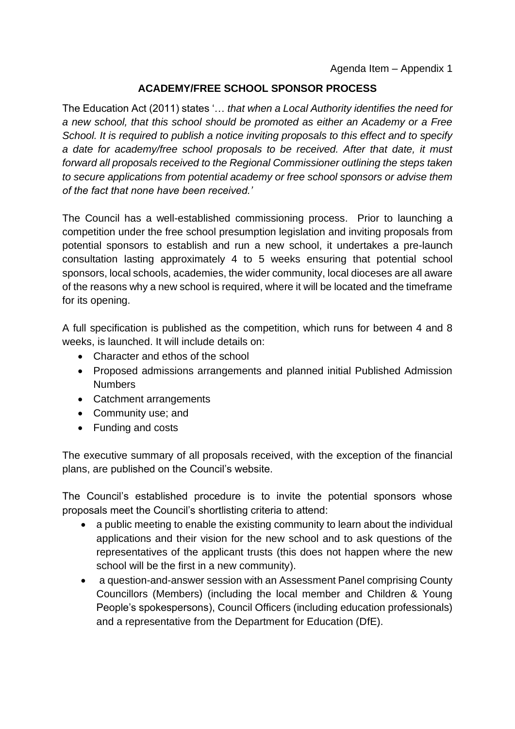## **ACADEMY/FREE SCHOOL SPONSOR PROCESS**

The Education Act (2011) states '… *that when a Local Authority identifies the need for a new school, that this school should be promoted as either an Academy or a Free School. It is required to publish a notice inviting proposals to this effect and to specify a date for academy/free school proposals to be received. After that date, it must forward all proposals received to the Regional Commissioner outlining the steps taken to secure applications from potential academy or free school sponsors or advise them of the fact that none have been received.'*

The Council has a well-established commissioning process. Prior to launching a competition under the free school presumption legislation and inviting proposals from potential sponsors to establish and run a new school, it undertakes a pre-launch consultation lasting approximately 4 to 5 weeks ensuring that potential school sponsors, local schools, academies, the wider community, local dioceses are all aware of the reasons why a new school is required, where it will be located and the timeframe for its opening.

A full specification is published as the competition, which runs for between 4 and 8 weeks, is launched. It will include details on:

- Character and ethos of the school
- Proposed admissions arrangements and planned initial Published Admission **Numbers**
- Catchment arrangements
- Community use; and
- Funding and costs

The executive summary of all proposals received, with the exception of the financial plans, are published on the Council's website.

The Council's established procedure is to invite the potential sponsors whose proposals meet the Council's shortlisting criteria to attend:

- a public meeting to enable the existing community to learn about the individual applications and their vision for the new school and to ask questions of the representatives of the applicant trusts (this does not happen where the new school will be the first in a new community).
- a question-and-answer session with an Assessment Panel comprising County Councillors (Members) (including the local member and Children & Young People's spokespersons), Council Officers (including education professionals) and a representative from the Department for Education (DfE).